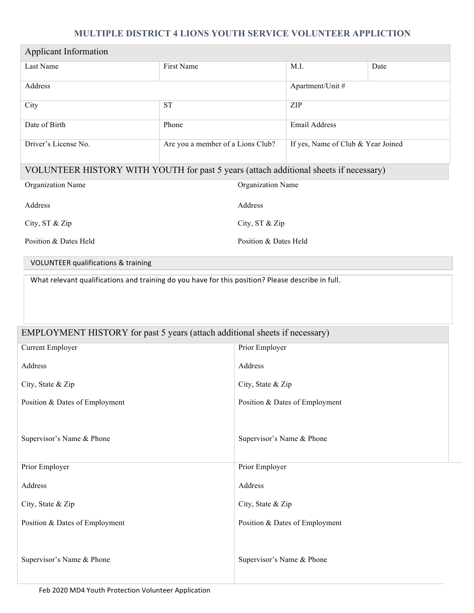## **MULTIPLE DISTRICT 4 LIONS YOUTH SERVICE VOLUNTEER APPLICTION**

| <b>Applicant Information</b>                                                                                             |                                   |                                |                                    |      |  |
|--------------------------------------------------------------------------------------------------------------------------|-----------------------------------|--------------------------------|------------------------------------|------|--|
| Last Name                                                                                                                | First Name                        |                                | M.I.                               | Date |  |
| Address                                                                                                                  |                                   |                                | Apartment/Unit #                   |      |  |
| City                                                                                                                     | <b>ST</b>                         |                                | ZIP                                |      |  |
| Date of Birth                                                                                                            | Phone                             |                                | Email Address                      |      |  |
| Driver's License No.                                                                                                     | Are you a member of a Lions Club? |                                | If yes, Name of Club & Year Joined |      |  |
| VOLUNTEER HISTORY WITH YOUTH for past 5 years (attach additional sheets if necessary)                                    |                                   |                                |                                    |      |  |
| Organization Name                                                                                                        | Organization Name                 |                                |                                    |      |  |
| Address                                                                                                                  | Address                           |                                |                                    |      |  |
| City, ST & Zip                                                                                                           | City, ST & Zip                    |                                |                                    |      |  |
| Position & Dates Held                                                                                                    | Position & Dates Held             |                                |                                    |      |  |
| <b>VOLUNTEER qualifications &amp; training</b>                                                                           |                                   |                                |                                    |      |  |
| EMPLOYMENT HISTORY for past 5 years (attach additional sheets if necessary)<br><b>Current Employer</b><br>Prior Employer |                                   |                                |                                    |      |  |
| Address                                                                                                                  |                                   | Address                        |                                    |      |  |
| City, State & Zip                                                                                                        |                                   | City, State & Zip              |                                    |      |  |
| Position & Dates of Employment                                                                                           |                                   | Position & Dates of Employment |                                    |      |  |
| Supervisor's Name & Phone                                                                                                |                                   | Supervisor's Name & Phone      |                                    |      |  |
| Prior Employer                                                                                                           |                                   | Prior Employer                 |                                    |      |  |
| Address                                                                                                                  |                                   | Address                        |                                    |      |  |
| City, State & Zip                                                                                                        |                                   | City, State & Zip              |                                    |      |  |
| Position & Dates of Employment                                                                                           |                                   | Position & Dates of Employment |                                    |      |  |
| Supervisor's Name & Phone                                                                                                |                                   | Supervisor's Name & Phone      |                                    |      |  |